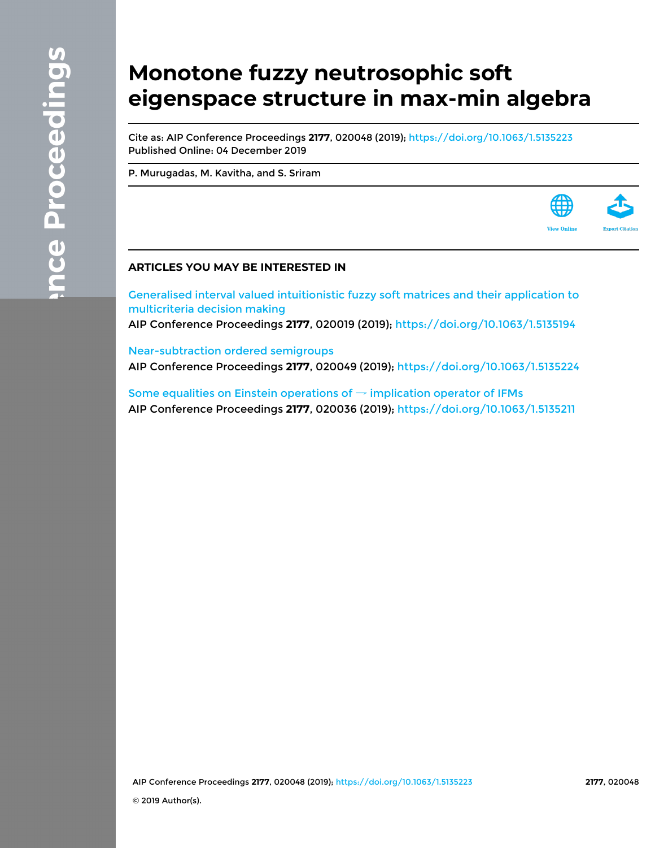# **Monotone fuzzy neutrosophic soft eigenspace structure in max-min algebra**

Cite as: AIP Conference Proceedings **2177**, 020048 (2019);<https://doi.org/10.1063/1.5135223> Published Online: 04 December 2019

[P. Murugadas](https://aip.scitation.org/author/Murugadas%2C+P), [M. Kavitha](https://aip.scitation.org/author/Kavitha%2C+M), and [S. Sriram](https://aip.scitation.org/author/Sriram%2C+S)



[Generalised interval valued intuitionistic fuzzy soft matrices and their application to](https://aip.scitation.org/doi/10.1063/1.5135194) [multicriteria decision making](https://aip.scitation.org/doi/10.1063/1.5135194)

AIP Conference Proceedings **2177**, 020019 (2019); <https://doi.org/10.1063/1.5135194>

[Near-subtraction ordered semigroups](https://aip.scitation.org/doi/10.1063/1.5135224) AIP Conference Proceedings **2177**, 020049 (2019); <https://doi.org/10.1063/1.5135224>

[Some equalities on Einstein operations of](https://aip.scitation.org/doi/10.1063/1.5135211)  $\rightarrow$  implication operator of IFMs AIP Conference Proceedings **2177**, 020036 (2019); <https://doi.org/10.1063/1.5135211>

AIP Conference Proceedings **2177**, 020048 (2019); <https://doi.org/10.1063/1.5135223> **2177**, 020048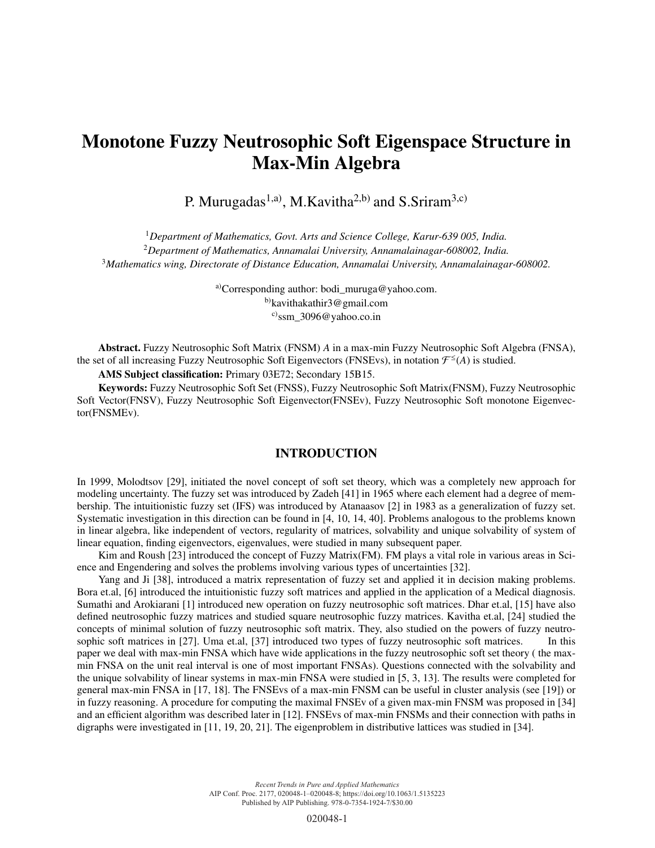# Monotone Fuzzy Neutrosophic Soft Eigenspace Structure in Max-Min Algebra

P. Murugadas<sup>1,a)</sup>, M.Kavitha<sup>2,b)</sup> and S.Sriram<sup>3,c)</sup>

<sup>1</sup>*Department of Mathematics, Govt. Arts and Science College, Karur-639 005, India.* <sup>2</sup>*Department of Mathematics, Annamalai University, Annamalainagar-608002, India.* <sup>3</sup>*Mathematics wing, Directorate of Distance Education, Annamalai University, Annamalainagar-608002.*

> a)Corresponding author: bodi\_muruga@yahoo.com. b)kavithakathir3@gmail.com  $c)$ ssm 3096@yahoo.co.in

Abstract. Fuzzy Neutrosophic Soft Matrix (FNSM) *A* in a max-min Fuzzy Neutrosophic Soft Algebra (FNSA), the set of all increasing Fuzzy Neutrosophic Soft Eigenvectors (FNSEvs), in notation  $\mathcal{F}^{\leq}(A)$  is studied.

AMS Subject classification: Primary 03E72; Secondary 15B15.

Keywords: Fuzzy Neutrosophic Soft Set (FNSS), Fuzzy Neutrosophic Soft Matrix(FNSM), Fuzzy Neutrosophic Soft Vector(FNSV), Fuzzy Neutrosophic Soft Eigenvector(FNSEv), Fuzzy Neutrosophic Soft monotone Eigenvector(FNSMEv).

# INTRODUCTION

In 1999, Molodtsov [29], initiated the novel concept of soft set theory, which was a completely new approach for modeling uncertainty. The fuzzy set was introduced by Zadeh [41] in 1965 where each element had a degree of membership. The intuitionistic fuzzy set (IFS) was introduced by Atanaasov [2] in 1983 as a generalization of fuzzy set. Systematic investigation in this direction can be found in [4, 10, 14, 40]. Problems analogous to the problems known in linear algebra, like independent of vectors, regularity of matrices, solvability and unique solvability of system of linear equation, finding eigenvectors, eigenvalues, were studied in many subsequent paper.

Kim and Roush [23] introduced the concept of Fuzzy Matrix(FM). FM plays a vital role in various areas in Science and Engendering and solves the problems involving various types of uncertainties [32].

Yang and Ji [38], introduced a matrix representation of fuzzy set and applied it in decision making problems. Bora et.al, [6] introduced the intuitionistic fuzzy soft matrices and applied in the application of a Medical diagnosis. Sumathi and Arokiarani [1] introduced new operation on fuzzy neutrosophic soft matrices. Dhar et.al, [15] have also defined neutrosophic fuzzy matrices and studied square neutrosophic fuzzy matrices. Kavitha et.al, [24] studied the concepts of minimal solution of fuzzy neutrosophic soft matrix. They, also studied on the powers of fuzzy neutrosophic soft matrices in [27]. Uma et.al, [37] introduced two types of fuzzy neutrosophic soft matrices. In this paper we deal with max-min FNSA which have wide applications in the fuzzy neutrosophic soft set theory ( the maxmin FNSA on the unit real interval is one of most important FNSAs). Questions connected with the solvability and the unique solvability of linear systems in max-min FNSA were studied in [5, 3, 13]. The results were completed for general max-min FNSA in [17, 18]. The FNSEvs of a max-min FNSM can be useful in cluster analysis (see [19]) or in fuzzy reasoning. A procedure for computing the maximal FNSEv of a given max-min FNSM was proposed in [34] and an efficient algorithm was described later in [12]. FNSEvs of max-min FNSMs and their connection with paths in digraphs were investigated in [11, 19, 20, 21]. The eigenproblem in distributive lattices was studied in [34].

> *Recent Trends in Pure and Applied Mathematics* AIP Conf. Proc. 2177, 020048-1–020048-8; https://doi.org/10.1063/1.5135223 Published by AIP Publishing. 978-0-7354-1924-7/\$30.00

> > 020048-1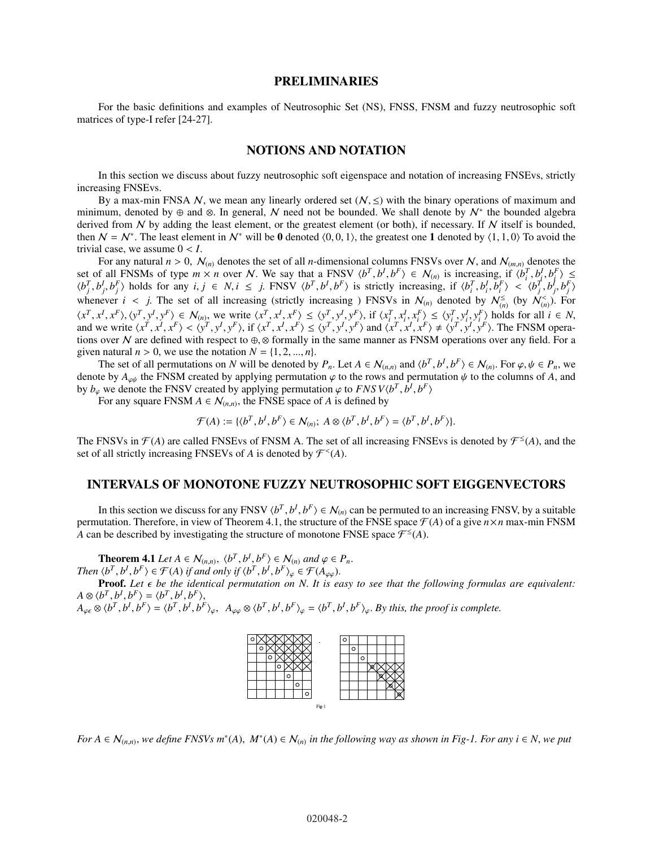#### PRELIMINARIES

For the basic definitions and examples of Neutrosophic Set (NS), FNSS, FNSM and fuzzy neutrosophic soft matrices of type-I refer [24-27].

#### NOTIONS AND NOTATION

In this section we discuss about fuzzy neutrosophic soft eigenspace and notation of increasing FNSEvs, strictly increasing FNSEvs.

By a max-min FNSA N, we mean any linearly ordered set  $(N, \leq)$  with the binary operations of maximum and minimum, denoted by ⊕ and ⊗. In general, N need not be bounded. We shall denote by  $N^*$  the bounded algebra derived from  $N$  by adding the least element, or the greatest element (or both), if necessary. If  $N$  itself is bounded, then  $N = N^*$ . The least element in  $N^*$  will be 0 denoted  $(0, 0, 1)$ , the greatest one 1 denoted by  $(1, 1, 0)$  To avoid the trivial case, we assume  $0 < I$ .

For any natural  $n > 0$ ,  $\mathcal{N}_{(n)}$  denotes the set of all *n*-dimensional columns FNSVs over N, and  $\mathcal{N}_{(m,n)}$  denotes the set of all FNSMs of type  $m \times n$  over N. We say that a FNSV  $\langle b^T, b^I, b^F \rangle \in \mathcal{N}_{(n)}$  is increasing, if  $\langle b_i^T, b_j^I, b_f^F \rangle \leq$  $\langle b_j^T, b_j^I, b_j^F \rangle$  holds for any  $i, j \in N$ ,  $i \le j$ . FNSV  $\langle b_i^T, b_j^I, b_j^F \rangle$  is strictly increasing, if  $\langle b_i^T, b_i^I, b_j^F \rangle < \langle b_j^T, b_j^I, b_j^F \rangle$ whenever  $i < j$ . The set of all increasing (strictly increasing ) FNSVs in  $\mathcal{N}_{(n)}$  denoted by  $\mathcal{N}_{(n)}^{\leq}$  (by  $\mathcal{N}_{(n)}^{\leq}$ ). For  $\langle x^T, x^I, x^F \rangle, \langle y^T, y^I, y^F \rangle \in \mathcal{N}_{(n)},$  we write  $\langle x^T, x^I, x^F \rangle \leq \langle y^T, y^I, y^F \rangle$ , if  $\langle x^T_i, x^I_i, x^F_i \rangle \leq \langle y^T_i, y^I_i, y^F_i \rangle$  holds for all  $i \in \mathbb{N},$ and we write  $\langle x^T, x^I, x^F \rangle < \langle y^T, y^I, y^F \rangle$ , if  $\langle x^T, x^I, x^F \rangle \le \langle y^T, y^I, y^F \rangle$  and  $\langle x^T, x^I, x^F \rangle \ne \langle y^T, y^I, y^F \rangle$ . The FNSM operations over N are defined with respect to  $\oplus$ ,  $\otimes$  formally in the same manner as FNSM operations over any field. For a given natural  $n > 0$ , we use the notation  $N = \{1, 2, ..., n\}$ .

The set of all permutations on N will be denoted by  $P_n$ . Let  $A \in \mathcal{N}_{(n,n)}$  and  $\langle b^T, b^I, b^F \rangle \in \mathcal{N}_{(n)}$ . For  $\varphi, \psi \in P_n$ , we denote by  $A_{\varphi\psi}$  the FNSM created by applying permutation  $\varphi$  to the rows and permutation  $\psi$  to the columns of *A*, and by  $b_{\varphi}$  we denote the FNSV created by applying permutation  $\varphi$  to *FNSV* $\langle b^T, b^I, b^F \rangle$ 

For any square FNSM  $A \in \mathcal{N}_{(n,n)}$ , the FNSE space of *A* is defined by

$$
\mathcal{F}(A) := \{ \langle b^T, b^I, b^F \rangle \in \mathcal{N}_{(n)}; A \otimes \langle b^T, b^I, b^F \rangle = \langle b^T, b^I, b^F \rangle \}.
$$

The FNSVs in  $\mathcal{F}(A)$  are called FNSEvs of FNSM A. The set of all increasing FNSEvs is denoted by  $\mathcal{F}^{\leq}(A)$ , and the set of all strictly increasing FNSEVs of *A* is denoted by  $\mathcal{F}^{<}(A)$ .

#### INTERVALS OF MONOTONE FUZZY NEUTROSOPHIC SOFT EIGGENVECTORS

In this section we discuss for any FNSV  $\langle b^T, b^I, b^F \rangle \in \mathcal{N}_{(n)}$  can be permuted to an increasing FNSV, by a suitable permutation. Therefore, in view of Theorem 4.1, the structure of the FNSE space  $\mathcal{F}(A)$  of a give  $n \times n$  max-min FNSM A can be described by investigating the structure of monotone FNSE space  $\mathcal{F}^{\leq}(A)$ .

**Theorem 4.1** Let  $A \in \mathcal{N}_{(n,n)}$ ,  $\langle b^T, b^I, b^F \rangle \in \mathcal{N}_{(n)}$  and  $\varphi \in P_n$ . *Then*  $\langle b^T, b^I, b^F \rangle \in \mathcal{F}(A)$  *if and only if*  $\langle b^T, b^I, b^F \rangle_{\varphi} \in \mathcal{F}(A_{\varphi\varphi})$ .

**Proof.** Let  $\epsilon$  be the identical permutation on N. It is easy to see that the following formulas are equivalent:  $A \otimes \langle b^T, b^I, b^F \rangle = \langle b^T, b^I, b^F \rangle,$ 

 $A_{\varphi\epsilon} \otimes \langle b^T, b^I, b^F \rangle = \langle b^T, b^I, b^F \rangle_{\varphi}, \ \ A_{\varphi\varphi} \otimes \langle b^T, b^I, b^F \rangle_{\varphi} = \langle b^T, b^I, b^F \rangle_{\varphi}.$  By this, the proof is complete.



*For*  $A \in \mathcal{N}_{(n,n)}$ , we define FNSVs  $m^*(A)$ ,  $M^*(A) \in \mathcal{N}_{(n)}$  in the following way as shown in Fig-1. For any  $i \in N$ , we put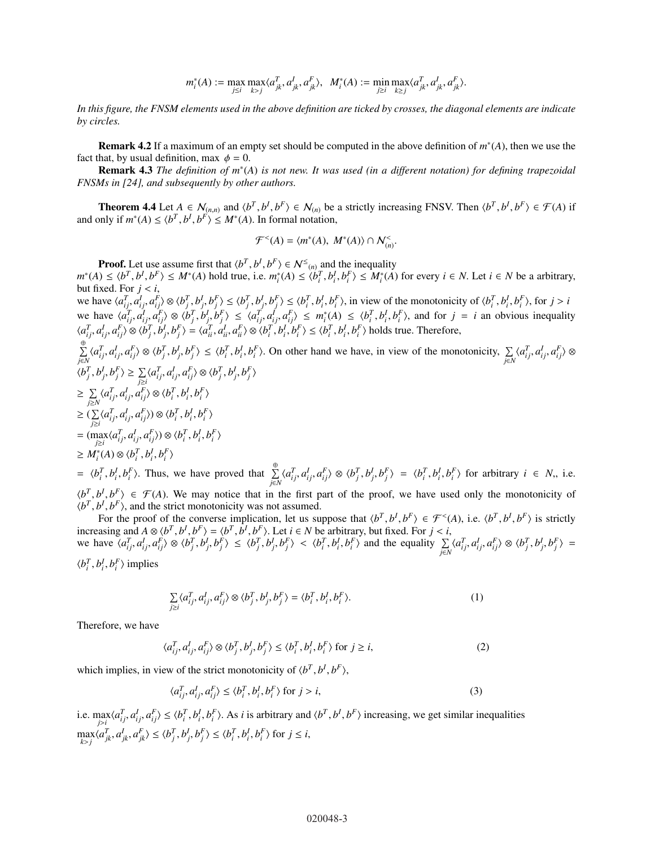$$
m_i^*(A) := \max_{j \leq i} \max_{k > j} \langle a_{jk}^T, a_{jk}^I, a_{jk}^F \rangle, \ \ M_i^*(A) := \min_{j \geq i} \max_{k \geq j} \langle a_{jk}^T, a_{jk}^I, a_{jk}^F \rangle.
$$

*In this figure, the FNSM elements used in the above definition are ticked by crosses, the diagonal elements are indicate by circles.*

**Remark 4.2** If a maximum of an empty set should be computed in the above definition of  $m^*(A)$ , then we use the fact that, by usual definition, max  $\phi = 0$ .

**Remark 4.3** *The definition of m*<sup>\*</sup>(A) *is not new. It was used (in a different notation) for defining trapezoidal FNSMs in [24], and subsequently by other authors.*

**Theorem 4.4** Let  $A \in \mathcal{N}_{(n,n)}$  and  $\langle b^T, b^I, b^F \rangle \in \mathcal{N}_{(n)}$  be a strictly increasing FNSV. Then  $\langle b^T, b^I, b^F \rangle \in \mathcal{F}(A)$  if and only if  $m^*(A) \le \langle b^T, b^I, b^F \rangle \le M^*(A)$ . In formal notation,

$$
\mathcal{F}^{&}(A) = \langle m^*(A), M^*(A) \rangle \cap \mathcal{N}_{(n)}^{&}(
$$

**Proof.** Let use assume first that  $\langle b^T, b^I, b^F \rangle \in \mathcal{N}^{\leq}(n)$  and the inequality  $m^*(A) \le \langle b^T, b^I, b^F \rangle \le M^*(A)$  hold true, i.e.  $m_i^*(A) \le \langle b_i^T, b_i^I, b_i^F \rangle \le M_i^*(A)$  for every  $i \in N$ . Let  $i \in N$  be a arbitrary, but fixed. For  $j < i$ ,

we have  $\langle a_{ij}^T, a_{ij}^I, a_{ij}^F \rangle \otimes \langle b_j^T, b_j^I, b_j^F \rangle \le \langle b_j^T, b_j^I, b_j^F \rangle \le \langle b_i^T, b_i^I, b_i^F \rangle$ , in view of the monotonicity of  $\langle b_i^T, b_i^I, b_i^F \rangle$ , for  $j > i$ we have  $\langle a_{ij}^T, a_{ij}^I, a_{ij}^F \rangle \otimes \langle b_j^T, b_j^I, b_j^F \rangle \le \langle a_{ij}^T, a_{ij}^I, a_{ij}^F \rangle \le m_i^*(A) \le \langle b_i^T, b_i^I, b_i^F \rangle$ , and for  $j = i$  an obvious inequality  $\langle a_{ij}^T, a_{ij}^I, a_{ij}^F \rangle \otimes \langle b_j^T, b_j^I, b_j^F \rangle = \langle a_{ii}^T, a_{ii}^I, a_{ii}^F \rangle \otimes \langle b_i^T, b_i^I, b_i^F \rangle \le \langle b_i^T, b_i^I, b_i^F \rangle$  holds true. Therefore,

$$
\sum_{j\in N}^{(\oplus)} \langle a_{ij}^T, a_{ij}^I, a_{ij}^F \rangle \otimes \langle b_j^T, b_j^I, b_j^F \rangle \leq \langle b_i^T, b_i^I, b_i^F \rangle.
$$
 On other hand we have, in view of the monotonicity, 
$$
\sum_{j\in N} \langle a_{ij}^T, a_{ij}^I, a_{ij}^I, a_{ij}^F \rangle \otimes \langle b_j^T, b_j^I, b_j^I \rangle
$$
\n
$$
\geq \sum_{j\geq N} \langle a_{ij}^T, a_{ij}^I, a_{ij}^F \rangle \otimes \langle b_i^T, b_i^I, b_i^F \rangle
$$
\n
$$
\geq \sum_{j\geq i} \langle a_{ij}^T, a_{ij}^I, a_{ij}^F \rangle \otimes \langle b_i^T, b_i^I, b_i^F \rangle
$$
\n
$$
\geq (\sum_{j\geq i} \langle a_{ij}^T, a_{ij}^I, a_{ij}^F \rangle) \otimes \langle b_i^T, b_i^I, b_i^F \rangle
$$
\n
$$
\geq M_i^*(A) \otimes \langle b_i^T, b_i^I, b_i^F \rangle
$$
\n
$$
= \langle b_i^T, b_i^I, b_i^F \rangle.
$$
 Thus, we have proved that 
$$
\sum_{j=1}^{(\oplus)} \langle a_{ij}^T, a_{ij}^I, a_{ij}^F \rangle \otimes \langle b_j^T, b_j^I, b_j^F \rangle = \langle b_i^T, b_i^I, b_i^F \rangle
$$
 for arbitrary  $i \in N$ , i.e.

*j*∈*N*  $\langle b^T, b^I, b^F \rangle \in \mathcal{F}(A)$ . We may notice that in the first part of the proof, we have used only the monotonicity of  $\langle b^T, b^I, b^F \rangle$ , and the strict monotonicity was not assumed.

For the proof of the converse implication, let us suppose that  $\langle b^T, b^I, b^F \rangle \in \mathcal{F}^{\lt}(A)$ , i.e.  $\langle b^T, b^I, b^F \rangle$  is strictly increasing and  $A \otimes \langle b^T, b^I, b^F \rangle = \langle b^T, b^I, b^F \rangle$ . Let  $i \in N$  be arbitrary, but fixed. For  $j < i$ , we have  $\langle a_{ij}^T, a_{ij}^l, a_{ij}^F \rangle \otimes \langle b_j^T, b_j^l, b_j^F \rangle \leq \langle b_j^T, b_j^l, b_j^F \rangle < \langle b_i^T, b_i^l, b_i^F \rangle$  and the equality  $\sum_{j \in N} \langle a_{ij}^T, a_{ij}^l, a_{ij}^F \rangle \otimes \langle b_j^T, b_j^l, b_j^F \rangle =$ 

 $\langle b_i^T, b_i^I, b_i^F \rangle$  implies

$$
\sum_{j\geq i} \langle a_{ij}^T, a_{ij}^I, a_{ij}^F \rangle \otimes \langle b_j^T, b_j^I, b_j^F \rangle = \langle b_i^T, b_i^I, b_i^F \rangle. \tag{1}
$$

Therefore, we have

$$
\langle a_{ij}^T, a_{ij}^I, a_{ij}^F \rangle \otimes \langle b_j^T, b_j^I, b_j^F \rangle \le \langle b_i^T, b_i^I, b_i^F \rangle \text{ for } j \ge i,
$$
 (2)

which implies, in view of the strict monotonicity of  $\langle b^T, b^I, b^F \rangle$ ,

$$
\langle a_{ij}^T, a_{ij}^I, a_{ij}^F \rangle \le \langle b_i^T, b_i^I, b_i^F \rangle \text{ for } j > i,
$$
\n(3)

i.e.  $\max_{j>i} \langle a_{ij}^T, a_{ij}^I, a_{ij}^F \rangle \le \langle b_i^T, b_i^I, b_i^F \rangle$ . As *i* is arbitrary and  $\langle b^T, b^I, b^F \rangle$  increasing, we get similar inequalities  $\max_{k>j}\langle a_{jk}^T, a_{jk}^I, a_{jk}^F\rangle \leq \langle b_j^T, b_j^I, b_j^F\rangle \leq \langle b_i^T, b_i^I, b_i^F\rangle$  for  $j \leq i$ ,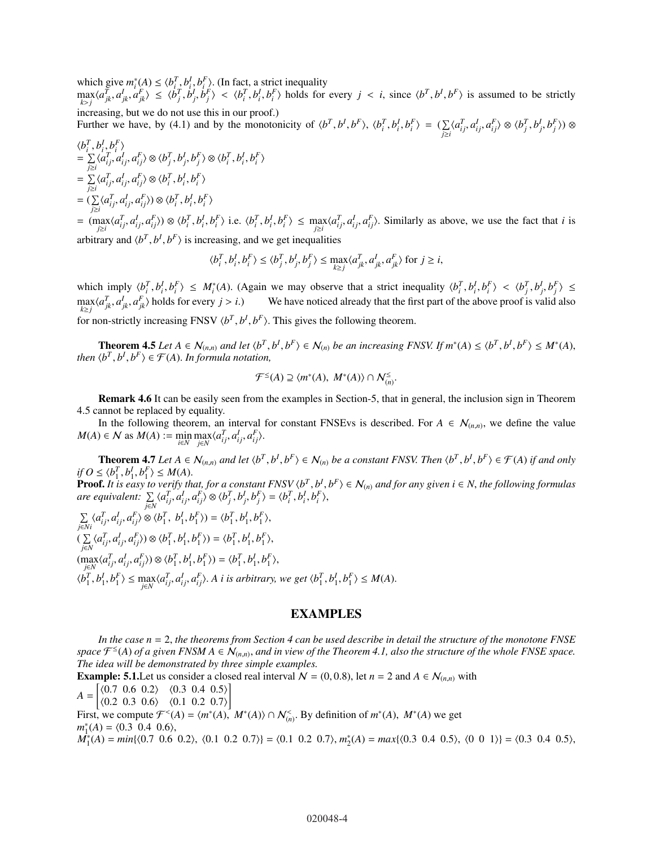which give  $m_i^*(A) \leq \langle b_{i, x}^T b_i^I, b_i^F \rangle$ . (In fact, a strict inequality

 $\max_{k>j}\langle a_{jk}^T, a_{jk}^I, a_{jk}^F\rangle \leq \langle b_j^T, b_j^I, b_j^F\rangle \langle b_i^T, b_i^I, b_i^F\rangle$  holds for every  $j \langle i, j \rangle$  since  $\langle b^T, b^I, b^F \rangle$  is assumed to be strictly increasing, but we do not use this in our proof.)

Further we have, by (4.1) and by the monotonicity of  $\langle b^T, b^I, b^F \rangle$ ,  $\langle b^T_i, b^I_i, b^F_i \rangle = (\sum_i$  $\sum_{j\geq i} \langle a_{ij}^T, a_{ij}^I, a_{ij}^F \rangle \otimes \langle b_j^T, b_j^I, b_j^F \rangle) \otimes$ 

$$
\langle b_i^T, b_i^l, b_i^F \rangle
$$
  
=  $\sum_{j \ge i} \langle a_{ij}^T, a_{ij}^l, a_{ij}^F \rangle \otimes \langle b_j^T, b_j^l, b_j^F \rangle \otimes \langle b_i^T, b_i^l, b_i^F \rangle$   
=  $\sum_{j \ge i} \langle a_{ij}^T, a_{ij}^l, a_{ij}^F \rangle \otimes \langle b_i^T, b_i^l, b_i^F \rangle$   
=  $(\sum_{j \ge i} \langle a_{ij}^T, a_{ij}^l, a_{ij}^F \rangle) \otimes \langle b_i^T, b_i^l, b_i^F \rangle$ 

=  $(\max_{j\geq i}\langle a_{ij}^T, a_{ij}^I, a_{ij}^F\rangle) \otimes \langle b_i^T, b_i^I, b_i^F\rangle$  i.e.  $\langle b_i^T, b_i^I, b_i^F\rangle \leq \max_{j\geq i}\langle a_{ij}^T, a_{ij}^I, a_{ij}^F\rangle$ . Similarly as above, we use the fact that *i* is arbitrary and  $\langle b^T, b^I, b^F \rangle$  is increasing, and we get inequalities

$$
\langle b_i^T, b_i^I, b_i^F \rangle \le \langle b_j^T, b_j^I, b_j^F \rangle \le \max_{k \ge j} \langle a_{jk}^T, a_{jk}^I, a_{jk}^F \rangle \text{ for } j \ge i,
$$

which imply  $\langle b_i^T, b_i^I, b_i^F \rangle \leq M_i^*(A)$ . (Again we may observe that a strict inequality  $\langle b_i^T, b_i^I, b_i^F \rangle < \langle b_i^T, b_i^I, b_i^F \rangle \leq$ *i i*,  $v_i$ ,  $v_j$ ,  $v_j$ ,  $\leq$  *m<sub>i</sub>*(*i*). (Again we may observe that a strict mequanty  $\langle v_i, v_i, v_i \rangle \leq \langle v_j, v_j, v_j \rangle$  $\max_{k \geq j} \langle a_{jk}^T, a_{jk}^I, a_{jk}^F \rangle$  holds for every  $j > i$ .) We have noticed already that the first part of the above proof is valid also for non-strictly increasing FNSV  $\langle b^T, b^I, b^F \rangle$ . This gives the following theorem.

**Theorem 4.5** Let  $A \in \mathcal{N}_{(n,n)}$  and let  $\langle b^T, b^I, b^F \rangle \in \mathcal{N}_{(n)}$  be an increasing FNSV. If  $m^*(A) \leq \langle b^T, b^I, b^F \rangle \leq M^*(A)$ , *then*  $\langle b^T, b^I, b^F \rangle \in \mathcal{F}(A)$ . *In formula notation,* 

$$
\mathcal{F}^{\leq}(A) \supseteq \langle m^*(A), M^*(A) \rangle \cap \mathcal{N}_{(n)}^{\leq}.
$$

Remark 4.6 It can be easily seen from the examples in Section-5, that in general, the inclusion sign in Theorem 4.5 cannot be replaced by equality.

In the following theorem, an interval for constant FNSEvs is described. For  $A \in \mathcal{N}_{(n,n)}$ , we define the value  $M(A) \in \mathcal{N}$  as  $M(A) := \min_{i \in \mathcal{N}} \max_{j \in \mathcal{N}} \langle a_{ij}^T, a_{ij}^T, a_{ij}^F \rangle$ .

**Theorem 4.7** Let  $A \in \mathcal{N}_{(n,n)}$  and let  $\langle b^T, b^I, b^F \rangle \in \mathcal{N}_{(n)}$  be a constant FNSV. Then  $\langle b^T, b^I, b^F \rangle \in \mathcal{F}(A)$  if and only  $if$   $O \le \langle b_1^T, b_1^I, b_1^F \rangle \le M(A)$ . **Proof.** It is easy to verify that, for a constant FNSV  $\langle b^T, b^I, b^F \rangle \in \mathcal{N}_{(n)}$  and for any given  $i \in \mathbb{N}$ , the following formulas

are equivalent:  $\sum_{j\in N}\langle a_{ij}^T,a_{ij}^I,a_{ij}^F\rangle\otimes\langle b_j^T,b_j^I,b_j^F\rangle=\langle b_i^T,b_i^I,b_j^F\rangle,$ 

$$
\sum_{j\in Ni} \langle a_{ij}^T, a_{ij}^I, a_{ij}^F \rangle \otimes \langle b_1^T, b_1^I, b_1^F \rangle) = \langle b_1^T, b_1^I, b_1^F \rangle,
$$
\n
$$
(\sum_{j\in N} \langle a_{ij}^T, a_{ij}^I, a_{ij}^F \rangle) \otimes \langle b_1^T, b_1^I, b_1^F \rangle) = \langle b_1^T, b_1^I, b_1^F \rangle,
$$
\n
$$
(\max_{j\in N} \langle a_{ij}^T, a_{ij}^I, a_{ij}^F \rangle) \otimes \langle b_1^T, b_1^I, b_1^F \rangle) = \langle b_1^T, b_1^I, b_1^F \rangle,
$$
\n
$$
\langle b_1^T, b_1^I, b_1^F \rangle \le \max_{j\in N} \langle a_{ij}^T, a_{ij}^I, a_{ij}^F \rangle.
$$
 A i is arbitrary, we get  $\langle b_1^T, b_1^I, b_1^F \rangle \le M(A)$ .

### EXAMPLES

*In the case n* = 2, *the theorems from Section 4 can be used describe in detail the structure of the monotone FNSE* space  $\mathcal{F}^{\leq}(A)$  of a given FNSM  $A \in \mathcal{N}_{(n,n)}$ , and in view of the Theorem 4.1, also the structure of the whole FNSE space. *The idea will be demonstrated by three simple examples.*

**Example: 5.1.** Let us consider a closed real interval  $N = (0, 0.8)$ , let  $n = 2$  and  $A \in \mathcal{N}_{(n,n)}$  with

 $A =$  $\begin{array}{cc} \langle 0.7 \ 0.6 \ 0.2 \rangle & \langle 0.3 \ 0.4 \ 0.5 \rangle \end{array}$ ⟨0.2 0.3 0.6⟩ ⟨0.1 0.2 0.7⟩ ]

First, we compute  $\mathcal{F}^{\le}(A) = \langle m^*(A), M^*(A) \rangle \cap \mathcal{N}_{(n)}^{\le}$ . By definition of  $m^*(A), M^*(A)$  we get  $m_1^*(A) = \langle 0.3 \, 0.4 \, 0.6 \rangle,$ 

 $M_1^*(A) = min\{(0.7 \ 0.6 \ 0.2), (0.1 \ 0.2 \ 0.7)\} = (0.1 \ 0.2 \ 0.7), m_2^*(A) = max\{(0.3 \ 0.4 \ 0.5), (0 \ 0 \ 1)\} = (0.3 \ 0.4 \ 0.5),$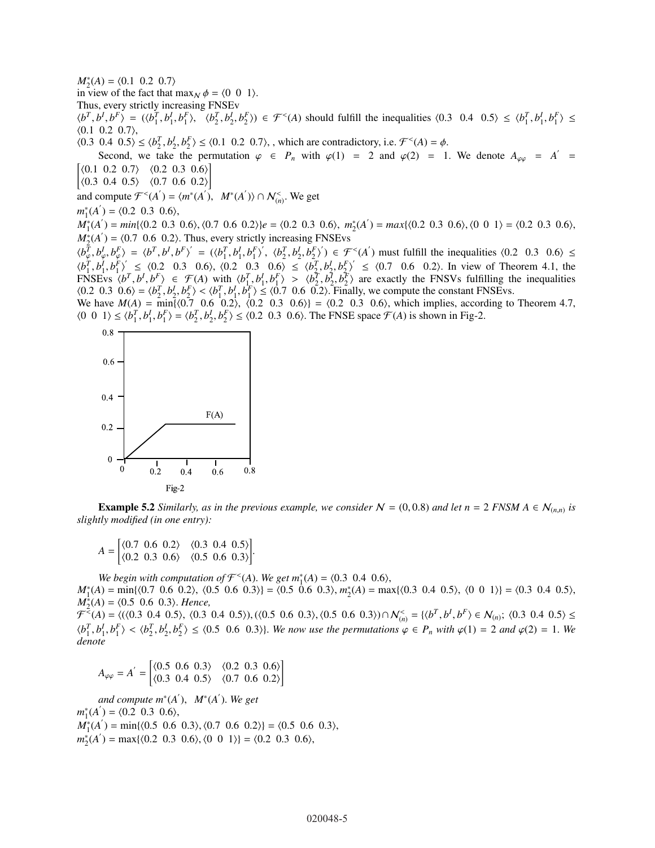$M_2^*(A) = \langle 0.1 \ 0.2 \ 0.7 \rangle$ 

in view of the fact that  $\max_N \phi = \langle 0 \ 0 \ 1 \rangle$ .

Thus, every strictly increasing FNSEv

 $\langle b^T, b^I, b^F \rangle = (\langle b_1^T, b_1^I, b_1^F \rangle, \langle b_2^T, b_2^I, b_2^F \rangle) \in \mathcal{F}^{\langle A \rangle}$  should fulfill the inequalities  $\langle 0.3 \ 0.4 \ 0.5 \rangle \leq \langle b_1^T, b_1^I, b_1^F \rangle \leq$  $(0.1 \ 0.2 \ 0.7),$ 

 $\langle 0.3 \, 0.4 \, 0.5 \rangle \le \langle b_2^T, b_2^I, b_2^F \rangle \le \langle 0.1 \, 0.2 \, 0.7 \rangle$ , which are contradictory, i.e.  $\mathcal{F}^<(A) = \phi$ .

Second, we take the permutation  $\varphi \in P_n$  with  $\varphi(1) = 2$  and  $\varphi(2) = 1$ . We denote  $A_{\varphi\varphi} = A' =$  $\begin{bmatrix} \langle 0.1 \ 0.2 \ 0.7 \rangle \end{bmatrix} \times \begin{bmatrix} 0.2 \ 0.3 \ 0.6 \rangle \end{bmatrix}$ 

 $\vert \langle 0.3 \; 0.4 \; 0.5 \rangle \; \langle 0.7 \; 0.6 \; 0.2 \rangle \vert$ 

and compute  $\mathcal{F}^{\lt}(A') = \langle m^*(A'), M^*(A') \rangle \cap \mathcal{N}_{(n)}^{\lt}$ . We get

 $m_1^*(A') = \langle 0.2 \ 0.3 \ 0.6 \rangle$ ,

 $M_1^*(A') = min\{(0.2 \ 0.3 \ 0.6), (0.7 \ 0.6 \ 0.2)\}\neq = \{(0.2 \ 0.3 \ 0.6), m_2^*(A') = max\{(0.2 \ 0.3 \ 0.6), (0 \ 0 \ 1)\} = \{(0.2 \ 0.3 \ 0.6), (0.4 \ 0.3 \ 0.6)\}$  $M_2^*(A') = \langle 0.7 \, 0.6 \, 0.2 \rangle$ . Thus, every strictly increasing FNSEvs

 $\langle b_q^T, b_\varphi^I, b_\varphi^F \rangle = \langle b^T, b^I, b^F \rangle = (\langle b_1^T, b_1^I, b_1^F \rangle', \langle b_2^T, b_2^I, b_2^F \rangle') \in \mathcal{F}^{\langle A \rangle}$  must fulfill the inequalities  $\langle 0.2 \quad 0.3 \quad 0.6 \rangle \le$  $\langle b_1^T, b_1^j, b_1^k \rangle' \le \langle 0.2 \quad 0.3 \quad 0.6 \rangle$ ,  $\langle 0.2 \quad 0.3 \quad 0.6 \rangle \le \langle b_2^T, b_2^j, b_2^k \rangle' \le \langle 0.7 \quad 0.6 \quad 0.2 \rangle$ . In view of Theorem 4.1, the ENSEvs  $\langle b_1^T, b_1^T, b_2^T \rangle \in \mathcal{F}(A)$  with  $\langle b_1^T, b_1^T, b_1^T \rangle > \langle b_2^T, b_2^T, b_2^T \rangle$  are exactly the FNSVs fulfilling the inequalities  $\langle 0.2 \, 0.3 \, 0.6 \rangle = \langle b_2^T, b_2^I, b_2^F \rangle \langle b_1^T, b_1^I, b_1^F \rangle \leq \langle 0.7 \, 0.6 \, 0.2 \rangle$ . Finally, we compute the constant FNSEvs.

We have  $M(A) = \min\{(0.7 \ 0.6 \ 0.2), \ (0.2 \ 0.3 \ 0.6)\} = (0.2 \ 0.3 \ 0.6),$  which implies, according to Theorem 4.7,  $\langle 0 \ 0 \ 1 \rangle \le \langle b_1^T, b_1^I, b_1^F \rangle = \langle b_2^T, b_2^I, b_2^F \rangle \le \langle 0.2 \ 0.3 \ 0.6 \rangle$ . The FNSE space  $\mathcal{F}(A)$  is shown in Fig-2.



**Example 5.2** *Similarly, as in the previous example, we consider*  $N = (0, 0.8)$  *and let*  $n = 2$  *FNSM*  $A \in N_{(n,n)}$  *is slightly modified (in one entry):*

$$
A = \begin{bmatrix} \langle 0.7 & 0.6 & 0.2 \rangle & \langle 0.3 & 0.4 & 0.5 \rangle \\ \langle 0.2 & 0.3 & 0.6 \rangle & \langle 0.5 & 0.6 & 0.3 \rangle \end{bmatrix}.
$$

*We begin with computation of*  $\mathcal{F}^<(A)$ . *We get*  $m_1^*(A) = \langle 0.3 \ 0.4 \ 0.6 \rangle$ ,  $M_1^*(A) = \min\{(0.7 \ 0.6 \ 0.2), \ (0.5 \ 0.6 \ 0.3)\} = (0.5 \ 0.6 \ 0.3), m_2^*(A) = \max\{(0.3 \ 0.4 \ 0.5), \ (0 \ 0 \ 1)\} = (0.3 \ 0.4 \ 0.5),$  $M_2^*(A) = \langle 0.5 \ 0.6 \ 0.3 \rangle$ . *Hence,* 

 $\mathcal{F}^{\leq}(A) = \langle (\langle 0.3 \; 0.4 \; 0.5 \rangle, \langle 0.3 \; 0.4 \; 0.5 \rangle), (\langle 0.5 \; 0.6 \; 0.3 \rangle, \langle 0.5 \; 0.6 \; 0.3 \rangle) \cap \mathcal{N}_{(n)}^{\leq} = \{ \langle b^T, b^I, b^F \rangle \in \mathcal{N}_{(n)}; \langle 0.3 \; 0.4 \; 0.5 \rangle \leq \langle b^T, b^T \rangle \}$  $\langle b_1^T, b_1^I, b_1^F \rangle < \langle b_2^T, b_2^I, b_2^F \rangle \le \langle 0.5 \; 0.6 \; 0.3 \rangle$ . We now use the permutations  $\varphi \in P_n$  with  $\varphi(1) = 2$  and  $\varphi(2) = 1$ . We *denote*

$$
A_{\varphi\varphi} = A' = \begin{bmatrix} \langle 0.5 & 0.6 & 0.3 \rangle & \langle 0.2 & 0.3 & 0.6 \rangle \\ \langle 0.3 & 0.4 & 0.5 \rangle & \langle 0.7 & 0.6 & 0.2 \rangle \end{bmatrix}
$$

 $and compute m<sup>*</sup>(A<sup>'</sup>)$ ,  $M<sup>*</sup>(A<sup>'</sup>)$ . We get  $m_1^*(A') = \langle 0.2 \ 0.3 \ 0.6 \rangle,$  $M_1^*(A') = \min\{(0.5 \ 0.6 \ 0.3), (0.7 \ 0.6 \ 0.2)\} = \{(0.5 \ 0.6 \ 0.3),$  $m_2^*(A') = \max\{(0.2 \ 0.3 \ 0.6), (0 \ 0 \ 1)\} = (0.2 \ 0.3 \ 0.6),$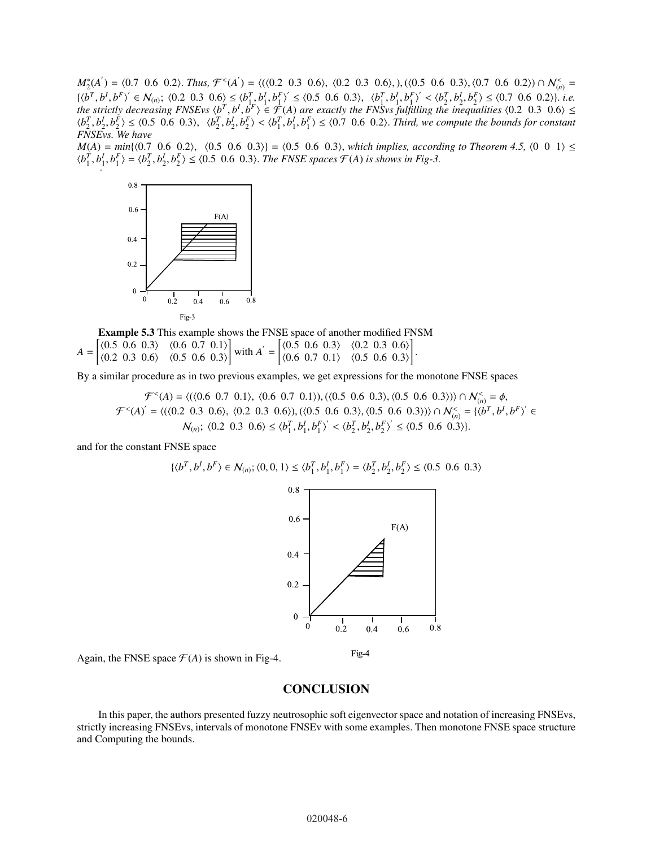$M_2^*(A') = \langle 0.7 \ 0.6 \ 0.2 \rangle$ . *Thus,*  $\mathcal{F}^<(A') = \langle (\langle 0.2 \ 0.3 \ 0.6 \rangle, \ \langle 0.2 \ 0.3 \ 0.6 \rangle, \cdot)$ ,  $(\langle 0.5 \ 0.6 \ 0.3 \rangle, \langle 0.7 \ 0.6 \ 0.2 \rangle) \cap \mathcal{N}_{(n)}^<$  $\{\langle b^T, b^I, b^F \rangle' \in \mathcal{N}_{(n)}; \langle 0.2 \ 0.3 \ 0.6 \rangle \leq \langle b_{1,2}^T, b_1^I, b_1^F \rangle' \leq \langle 0.5 \ 0.6 \ 0.3 \rangle, \quad \langle b_1^T, b_1^I, b_1^F \rangle' < \langle b_2^T, b_2^I, b_2^F \rangle \leq \langle 0.7 \ 0.6 \ 0.2 \rangle\}.$ *the strictly decreasing FNSEvs*  $\langle b^T, b^I, b^F \rangle \in \mathcal{F}(A)$  are exactly the FNSvs fulfilling the inequalities  $\langle 0.2 \; 0.3 \; 0.6 \rangle \leq$  $\langle b_2^T, b_2^I, b_2^F \rangle \le \langle 0.5 \; 0.6 \; 0.3 \rangle$ ,  $\langle b_2^T, b_2^I, b_2^F \rangle \langle b_1^T, b_1^I, b_1^F \rangle \le \langle 0.7 \; 0.6 \; 0.2 \rangle$ . Third, we compute the bounds for constant *FNSEvs. We have*

 $M(A) = min\{(0.7 \ 0.6 \ 0.2), (0.5 \ 0.6 \ 0.3)\} = (0.5 \ 0.6 \ 0.3), which implies, according to Theorem 4.5, (0 \ 0 \ 1) \leq$  $\langle b_1^T, b_1^I, b_1^F \rangle = \langle b_2^T, b_2^I, b_2^F \rangle \le \langle 0.5 \, 0.6 \, 0.3 \rangle$ . *The FNSE spaces*  $\mathcal{F}(A)$  *is shows in Fig-3.* 



Example 5.3 This example shows the FNSE space of another modified FNSM  $A =$  $\begin{bmatrix} \langle 0.5 \ 0.6 \ 0.3 \rangle \end{bmatrix} \times \begin{bmatrix} 0.6 \ 0.7 \ 0.1 \end{bmatrix}$  $(0.2 \t0.3 \t0.6)$   $(0.5 \t0.6 \t0.3)$ ] with  $A' =$  $\begin{bmatrix} \langle 0.5 \ 0.6 \ 0.3 \rangle \end{bmatrix}$   $\langle 0.2 \ 0.3 \ 0.6 \rangle$  $(0.6 \t0.7 \t0.1)$   $(0.5 \t0.6 \t0.3)$ ] .

By a similar procedure as in two previous examples, we get expressions for the monotone FNSE spaces

 $\mathcal{F}^{<}(A) = \langle (\langle 0.6 \; 0.7 \; 0.1 \rangle, \; \langle 0.6 \; 0.7 \; 0.1 \rangle), (\langle 0.5 \; 0.6 \; 0.3 \rangle, \langle 0.5 \; 0.6 \; 0.3 \rangle) \cap \mathcal{N}_{(n)}^{<} = \phi,$  $\mathcal{F}^{(A)} = \langle (\langle 0.2 \; 0.3 \; 0.6 \rangle, \langle 0.2 \; 0.3 \; 0.6 \rangle), (\langle 0.5 \; 0.6 \; 0.3 \rangle, \langle 0.5 \; 0.6 \; 0.3 \rangle) \rangle \cap \mathcal{N}_{(n)}^{(n)} = \{ \langle b^T, b^I, b^F \rangle^{\prime} \in \mathcal{N}_{(n)} \}$  $\mathcal{N}_{(n)}$ ;  $\langle 0.2 \ 0.3 \ 0.6 \rangle \le \langle b_1^T, b_1^I, b_1^F \rangle' < \langle b_2^T, b_2^I, b_2^F \rangle' \le \langle 0.5 \ 0.6 \ 0.3 \rangle$ .

and for the constant FNSE space

$$
\{\langle b^T, b^I, b^F \rangle \in \mathcal{N}_{(n)}; \langle 0, 0, 1 \rangle \le \langle b_1^T, b_1^I, b_1^F \rangle = \langle b_2^T, b_2^I, b_2^F \rangle \le \langle 0.5 \ 0.6 \ 0.3 \rangle
$$



Again, the FNSE space  $\mathcal{F}(A)$  is shown in Fig-4.

## **CONCLUSION**

In this paper, the authors presented fuzzy neutrosophic soft eigenvector space and notation of increasing FNSEvs, strictly increasing FNSEvs, intervals of monotone FNSEv with some examples. Then monotone FNSE space structure and Computing the bounds.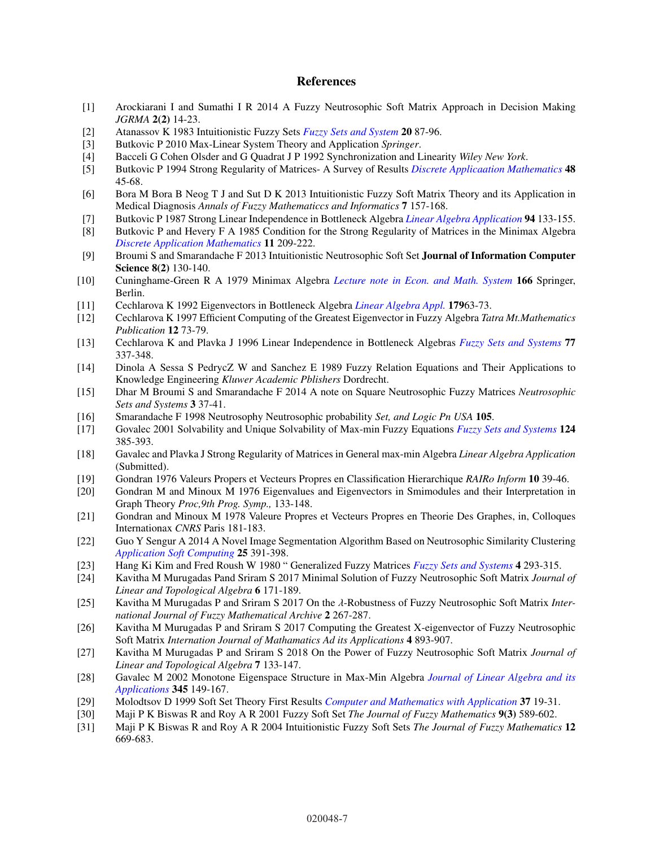# References

- [1] Arockiarani I and Sumathi I R 2014 A Fuzzy Neutrosophic Soft Matrix Approach in Decision Making *JGRMA* 2(2) 14-23.
- [2] Atanassov K 1983 Intuitionistic Fuzzy Sets *[Fuzzy Sets and System](https://doi.org/10.1016/S0165-0114(86)80034-3)* 20 87-96.
- [3] Butkovic P 2010 Max-Linear System Theory and Application *Springer*.
- [4] Bacceli G Cohen Olsder and G Quadrat J P 1992 Synchronization and Linearity *Wiley New York*.
- [5] Butkovic P 1994 Strong Regularity of Matrices- A Survey of Results *[Discrete Applicaation Mathematics](https://doi.org/10.1016/0166-218X(92)00104-T)* 48 45-68.
- [6] Bora M Bora B Neog T J and Sut D K 2013 Intuitionistic Fuzzy Soft Matrix Theory and its Application in Medical Diagnosis *Annals of Fuzzy Mathematiccs and Informatics* 7 157-168.
- [7] Butkovic P 1987 Strong Linear Independence in Bottleneck Algebra *[Linear Algebra Application](https://doi.org/10.1016/0024-3795(87)90085-1)* 94 133-155.
- [8] Butkovic P and Hevery F A 1985 Condition for the Strong Regularity of Matrices in the Minimax Algebra *[Discrete Application Mathematics](https://doi.org/10.1016/0166-218X(85)90073-3)* 11 209-222.
- [9] Broumi S and Smarandache F 2013 Intuitionistic Neutrosophic Soft Set Journal of Information Computer Science 8(2) 130-140.
- [10] Cuninghame-Green R A 1979 Minimax Algebra *[Lecture note in Econ. and Math. System](https://doi.org/10.1007/978-3-642-48708-8)* 166 Springer, Berlin.
- [11] Cechlarova K 1992 Eigenvectors in Bottleneck Algebra *[Linear Algebra Appl.](https://doi.org/10.1016/0024-3795(92)90302-Q)* 17963-73.
- [12] Cechlarova K 1997 Efficient Computing of the Greatest Eigenvector in Fuzzy Algebra *Tatra Mt.Mathematics Publication* 12 73-79.
- [13] Cechlarova K and Plavka J 1996 Linear Independence in Bottleneck Algebras *[Fuzzy Sets and Systems](https://doi.org/10.1016/0165-0114(95)00052-6)* 77 337-348.
- [14] Dinola A Sessa S PedrycZ W and Sanchez E 1989 Fuzzy Relation Equations and Their Applications to Knowledge Engineering *Kluwer Academic Pblishers* Dordrecht.
- [15] Dhar M Broumi S and Smarandache F 2014 A note on Square Neutrosophic Fuzzy Matrices *Neutrosophic Sets and Systems* 3 37-41.
- [16] Smarandache F 1998 Neutrosophy Neutrosophic probability *Set, and Logic Pn USA* 105.
- [17] Govalec 2001 Solvability and Unique Solvability of Max-min Fuzzy Equations *[Fuzzy Sets and Systems](https://doi.org/10.1016/S0165-0114(01)00108-7)* 124 385-393.
- [18] Gavalec and Plavka J Strong Regularity of Matrices in General max-min Algebra *Linear Algebra Application* (Submitted).
- [19] Gondran 1976 Valeurs Propers et Vecteurs Propres en Classification Hierarchique *RAIRo Inform* 10 39-46.
- [20] Gondran M and Minoux M 1976 Eigenvalues and Eigenvectors in Smimodules and their Interpretation in Graph Theory *Proc,9th Prog. Symp.,* 133-148.
- [21] Gondran and Minoux M 1978 Valeure Propres et Vecteurs Propres en Theorie Des Graphes, in, Colloques Internationax *CNRS* Paris 181-183.
- [22] Guo Y Sengur A 2014 A Novel Image Segmentation Algorithm Based on Neutrosophic Similarity Clustering *[Application Soft Computing](https://doi.org/10.1016/j.asoc.2014.08.066)* 25 391-398.
- [23] Hang Ki Kim and Fred Roush W 1980 " Generalized Fuzzy Matrices *[Fuzzy Sets and Systems](https://doi.org/10.1016/0165-0114(80)90016-0)* 4 293-315.
- [24] Kavitha M Murugadas Pand Sriram S 2017 Minimal Solution of Fuzzy Neutrosophic Soft Matrix *Journal of Linear and Topological Algebra* 6 171-189.
- [25] Kavitha M Murugadas P and Sriram S 2017 On the λ-Robustness of Fuzzy Neutrosophic Soft Matrix *International Journal of Fuzzy Mathematical Archive* 2 267-287.
- [26] Kavitha M Murugadas P and Sriram S 2017 Computing the Greatest X-eigenvector of Fuzzy Neutrosophic Soft Matrix *Internation Journal of Mathamatics Ad its Applications* 4 893-907.
- [27] Kavitha M Murugadas P and Sriram S 2018 On the Power of Fuzzy Neutrosophic Soft Matrix *Journal of Linear and Topological Algebra* 7 133-147.
- [28] Gavalec M 2002 Monotone Eigenspace Structure in Max-Min Algebra *[Journal of Linear Algebra and its](https://doi.org/10.1016/S0024-3795(01)00488-8) [Applications](https://doi.org/10.1016/S0024-3795(01)00488-8)* 345 149-167.
- [29] Molodtsov D 1999 Soft Set Theory First Results *[Computer and Mathematics with Application](https://doi.org/10.1016/S0898-1221(99)00056-5)* 37 19-31.
- [30] Maji P K Biswas R and Roy A R 2001 Fuzzy Soft Set *The Journal of Fuzzy Mathematics* 9(3) 589-602.
- [31] Maji P K Biswas R and Roy A R 2004 Intuitionistic Fuzzy Soft Sets *The Journal of Fuzzy Mathematics* 12 669-683.